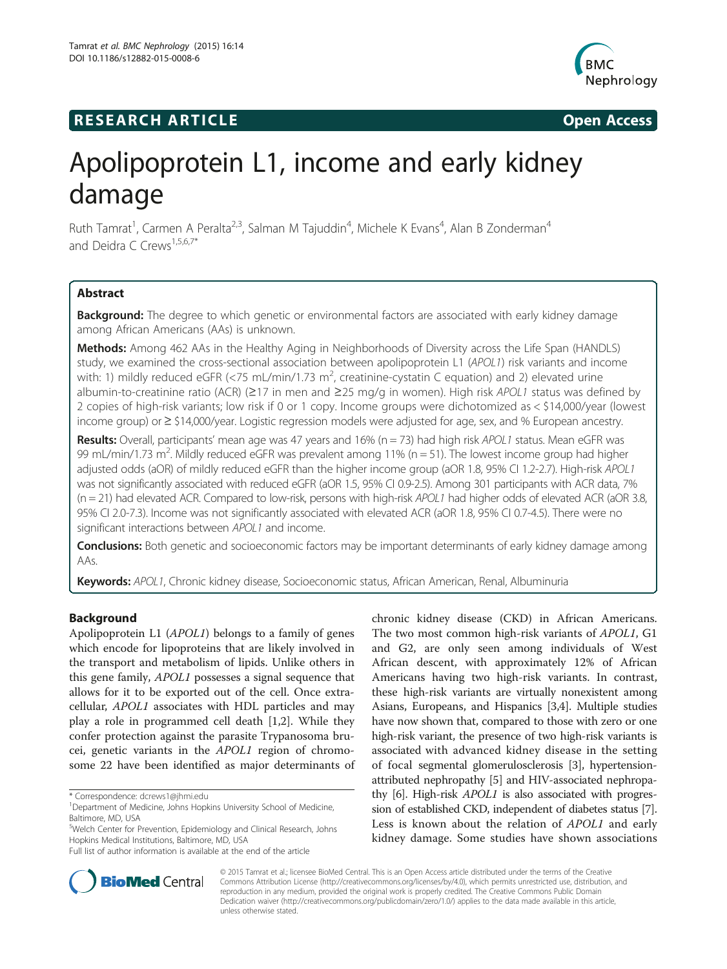# **RESEARCH ARTICLE Example 2014 CONSIDERING CONSIDERING CONSIDERING CONSIDERING CONSIDERING CONSIDERING CONSIDERING CONSIDERING CONSIDERING CONSIDERING CONSIDERING CONSIDERING CONSIDERING CONSIDERING CONSIDERING CONSIDE**



# Apolipoprotein L1, income and early kidney damage

Ruth Tamrat<sup>1</sup>, Carmen A Peralta<sup>2,3</sup>, Salman M Tajuddin<sup>4</sup>, Michele K Evans<sup>4</sup>, Alan B Zonderman<sup>4</sup> and Deidra C Crews<sup>1,5,6,7\*</sup>

# Abstract

**Background:** The degree to which genetic or environmental factors are associated with early kidney damage among African Americans (AAs) is unknown.

Methods: Among 462 AAs in the Healthy Aging in Neighborhoods of Diversity across the Life Span (HANDLS) study, we examined the cross-sectional association between apolipoprotein L1 (APOL1) risk variants and income with: 1) mildly reduced eGFR (<75 mL/min/1.73 m<sup>2</sup>, creatinine-cystatin C equation) and 2) elevated urine albumin-to-creatinine ratio (ACR) (≥17 in men and ≥25 mg/g in women). High risk APOL1 status was defined by 2 copies of high-risk variants; low risk if 0 or 1 copy. Income groups were dichotomized as < \$14,000/year (lowest income group) or ≥ \$14,000/year. Logistic regression models were adjusted for age, sex, and % European ancestry.

Results: Overall, participants' mean age was 47 years and 16% ( $n = 73$ ) had high risk APOL1 status. Mean eGFR was 99 mL/min/1.73 m<sup>2</sup>. Mildly reduced eGFR was prevalent among 11% (n = 51). The lowest income group had higher adjusted odds (aOR) of mildly reduced eGFR than the higher income group (aOR 1.8, 95% CI 1.2-2.7). High-risk APOL1 was not significantly associated with reduced eGFR (aOR 1.5, 95% CI 0.9-2.5). Among 301 participants with ACR data, 7%  $(n = 21)$  had elevated ACR. Compared to low-risk, persons with high-risk APOL1 had higher odds of elevated ACR (aOR 3.8, 95% CI 2.0-7.3). Income was not significantly associated with elevated ACR (aOR 1.8, 95% CI 0.7-4.5). There were no significant interactions between APOL1 and income.

**Conclusions:** Both genetic and socioeconomic factors may be important determinants of early kidney damage among AAs.

Keywords: APOL1, Chronic kidney disease, Socioeconomic status, African American, Renal, Albuminuria

# Background

Apolipoprotein L1 (APOL1) belongs to a family of genes which encode for lipoproteins that are likely involved in the transport and metabolism of lipids. Unlike others in this gene family, APOL1 possesses a signal sequence that allows for it to be exported out of the cell. Once extracellular, APOL1 associates with HDL particles and may play a role in programmed cell death [[1,2\]](#page-6-0). While they confer protection against the parasite Trypanosoma brucei, genetic variants in the APOL1 region of chromosome 22 have been identified as major determinants of

chronic kidney disease (CKD) in African Americans. The two most common high-risk variants of APOL1, G1 and G2, are only seen among individuals of West African descent, with approximately 12% of African Americans having two high-risk variants. In contrast, these high-risk variants are virtually nonexistent among Asians, Europeans, and Hispanics [\[3,4](#page-6-0)]. Multiple studies have now shown that, compared to those with zero or one high-risk variant, the presence of two high-risk variants is associated with advanced kidney disease in the setting of focal segmental glomerulosclerosis [\[3\]](#page-6-0), hypertensionattributed nephropathy [\[5\]](#page-6-0) and HIV-associated nephropathy [\[6](#page-6-0)]. High-risk APOL1 is also associated with progression of established CKD, independent of diabetes status [[7](#page-6-0)]. Less is known about the relation of APOL1 and early kidney damage. Some studies have shown associations



© 2015 Tamrat et al.; licensee BioMed Central. This is an Open Access article distributed under the terms of the Creative Commons Attribution License [\(http://creativecommons.org/licenses/by/4.0\)](http://creativecommons.org/licenses/by/4.0), which permits unrestricted use, distribution, and reproduction in any medium, provided the original work is properly credited. The Creative Commons Public Domain Dedication waiver [\(http://creativecommons.org/publicdomain/zero/1.0/](http://creativecommons.org/publicdomain/zero/1.0/)) applies to the data made available in this article, unless otherwise stated.

<sup>\*</sup> Correspondence: [dcrews1@jhmi.edu](mailto:dcrews1@jhmi.edu) <sup>1</sup>

<sup>&</sup>lt;sup>1</sup>Department of Medicine, Johns Hopkins University School of Medicine, Baltimore, MD, USA

<sup>5</sup> Welch Center for Prevention, Epidemiology and Clinical Research, Johns Hopkins Medical Institutions, Baltimore, MD, USA

Full list of author information is available at the end of the article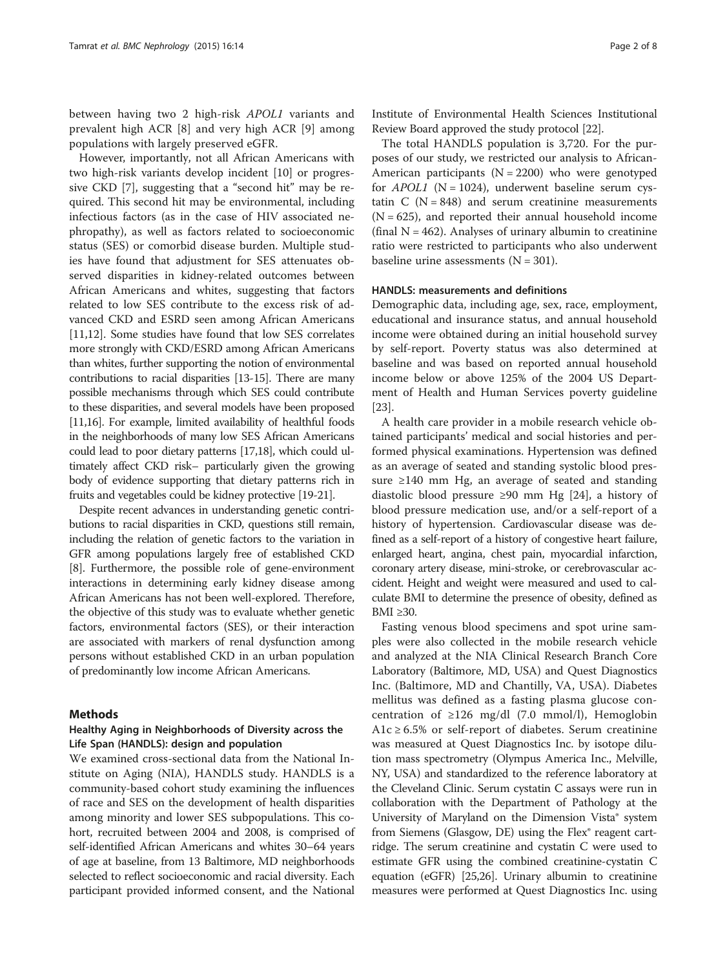between having two 2 high-risk APOL1 variants and prevalent high ACR [\[8](#page-6-0)] and very high ACR [[9](#page-6-0)] among populations with largely preserved eGFR.

However, importantly, not all African Americans with two high-risk variants develop incident [[10\]](#page-6-0) or progressive CKD [[7\]](#page-6-0), suggesting that a "second hit" may be required. This second hit may be environmental, including infectious factors (as in the case of HIV associated nephropathy), as well as factors related to socioeconomic status (SES) or comorbid disease burden. Multiple studies have found that adjustment for SES attenuates observed disparities in kidney-related outcomes between African Americans and whites, suggesting that factors related to low SES contribute to the excess risk of advanced CKD and ESRD seen among African Americans [[11,12\]](#page-7-0). Some studies have found that low SES correlates more strongly with CKD/ESRD among African Americans than whites, further supporting the notion of environmental contributions to racial disparities [\[13-15](#page-7-0)]. There are many possible mechanisms through which SES could contribute to these disparities, and several models have been proposed [[11,16](#page-7-0)]. For example, limited availability of healthful foods in the neighborhoods of many low SES African Americans could lead to poor dietary patterns [[17,18](#page-7-0)], which could ultimately affect CKD risk– particularly given the growing body of evidence supporting that dietary patterns rich in fruits and vegetables could be kidney protective [\[19-21\]](#page-7-0).

Despite recent advances in understanding genetic contributions to racial disparities in CKD, questions still remain, including the relation of genetic factors to the variation in GFR among populations largely free of established CKD [[8\]](#page-6-0). Furthermore, the possible role of gene-environment interactions in determining early kidney disease among African Americans has not been well-explored. Therefore, the objective of this study was to evaluate whether genetic factors, environmental factors (SES), or their interaction are associated with markers of renal dysfunction among persons without established CKD in an urban population of predominantly low income African Americans.

### Methods

# Healthy Aging in Neighborhoods of Diversity across the Life Span (HANDLS): design and population

We examined cross-sectional data from the National Institute on Aging (NIA), HANDLS study. HANDLS is a community-based cohort study examining the influences of race and SES on the development of health disparities among minority and lower SES subpopulations. This cohort, recruited between 2004 and 2008, is comprised of self-identified African Americans and whites 30–64 years of age at baseline, from 13 Baltimore, MD neighborhoods selected to reflect socioeconomic and racial diversity. Each participant provided informed consent, and the National Institute of Environmental Health Sciences Institutional Review Board approved the study protocol [\[22\]](#page-7-0).

The total HANDLS population is 3,720. For the purposes of our study, we restricted our analysis to African-American participants ( $N = 2200$ ) who were genotyped for  $APOL1$  (N = 1024), underwent baseline serum cystatin  $C$  (N = 848) and serum creatinine measurements  $(N = 625)$ , and reported their annual household income (final  $N = 462$ ). Analyses of urinary albumin to creatinine ratio were restricted to participants who also underwent baseline urine assessments  $(N = 301)$ .

#### HANDLS: measurements and definitions

Demographic data, including age, sex, race, employment, educational and insurance status, and annual household income were obtained during an initial household survey by self-report. Poverty status was also determined at baseline and was based on reported annual household income below or above 125% of the 2004 US Department of Health and Human Services poverty guideline [[23\]](#page-7-0).

A health care provider in a mobile research vehicle obtained participants' medical and social histories and performed physical examinations. Hypertension was defined as an average of seated and standing systolic blood pressure ≥140 mm Hg, an average of seated and standing diastolic blood pressure ≥90 mm Hg [[24\]](#page-7-0), a history of blood pressure medication use, and/or a self-report of a history of hypertension. Cardiovascular disease was defined as a self-report of a history of congestive heart failure, enlarged heart, angina, chest pain, myocardial infarction, coronary artery disease, mini-stroke, or cerebrovascular accident. Height and weight were measured and used to calculate BMI to determine the presence of obesity, defined as BMI  $\geq 30$ .

Fasting venous blood specimens and spot urine samples were also collected in the mobile research vehicle and analyzed at the NIA Clinical Research Branch Core Laboratory (Baltimore, MD, USA) and Quest Diagnostics Inc. (Baltimore, MD and Chantilly, VA, USA). Diabetes mellitus was defined as a fasting plasma glucose concentration of  $\geq$ 126 mg/dl (7.0 mmol/l), Hemoglobin A1c  $\geq$  6.5% or self-report of diabetes. Serum creatinine was measured at Quest Diagnostics Inc. by isotope dilution mass spectrometry (Olympus America Inc., Melville, NY, USA) and standardized to the reference laboratory at the Cleveland Clinic. Serum cystatin C assays were run in collaboration with the Department of Pathology at the University of Maryland on the Dimension Vista® system from Siemens (Glasgow, DE) using the Flex® reagent cartridge. The serum creatinine and cystatin C were used to estimate GFR using the combined creatinine-cystatin C equation (eGFR) [\[25,26](#page-7-0)]. Urinary albumin to creatinine measures were performed at Quest Diagnostics Inc. using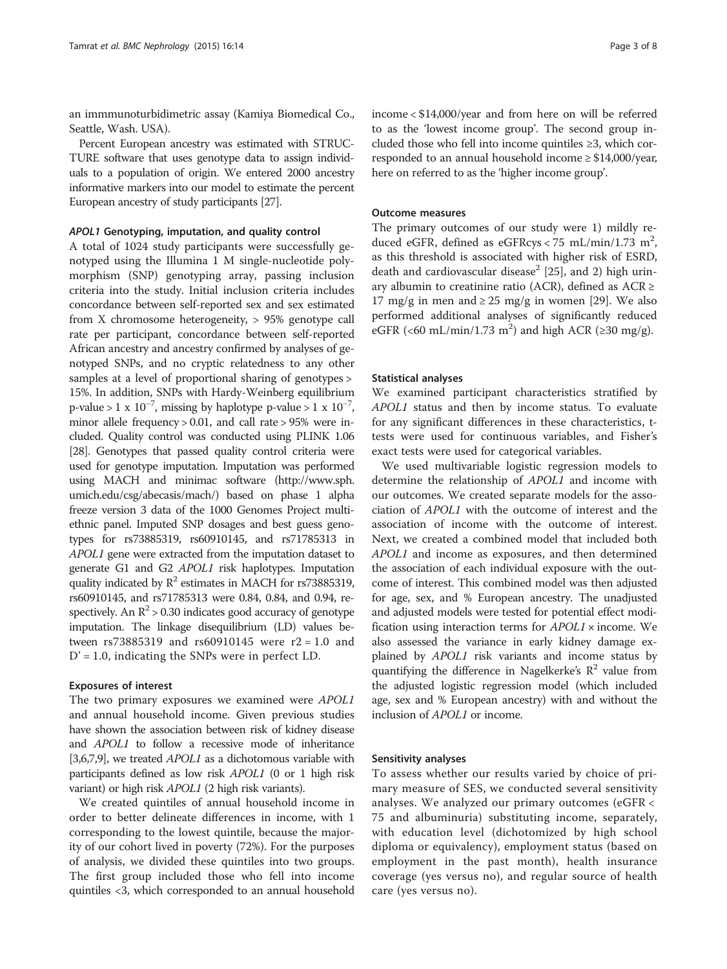an immmunoturbidimetric assay (Kamiya Biomedical Co., Seattle, Wash. USA).

Percent European ancestry was estimated with STRUC-TURE software that uses genotype data to assign individuals to a population of origin. We entered 2000 ancestry informative markers into our model to estimate the percent European ancestry of study participants [[27\]](#page-7-0).

#### APOL1 Genotyping, imputation, and quality control

A total of 1024 study participants were successfully genotyped using the Illumina 1 M single-nucleotide polymorphism (SNP) genotyping array, passing inclusion criteria into the study. Initial inclusion criteria includes concordance between self-reported sex and sex estimated from X chromosome heterogeneity, > 95% genotype call rate per participant, concordance between self-reported African ancestry and ancestry confirmed by analyses of genotyped SNPs, and no cryptic relatedness to any other samples at a level of proportional sharing of genotypes > 15%. In addition, SNPs with Hardy-Weinberg equilibrium p-value > 1 x  $10^{-7}$ , missing by haplotype p-value > 1 x  $10^{-7}$ , minor allele frequency > 0.01, and call rate > 95% were included. Quality control was conducted using PLINK 1.06 [[28](#page-7-0)]. Genotypes that passed quality control criteria were used for genotype imputation. Imputation was performed using MACH and minimac software [\(http://www.sph.](http://www.sph.umich.edu/csg/abecasis/mach/) [umich.edu/csg/abecasis/mach/](http://www.sph.umich.edu/csg/abecasis/mach/)) based on phase 1 alpha freeze version 3 data of the 1000 Genomes Project multiethnic panel. Imputed SNP dosages and best guess genotypes for rs73885319, rs60910145, and rs71785313 in APOL1 gene were extracted from the imputation dataset to generate G1 and G2 APOL1 risk haplotypes. Imputation quality indicated by  $R^2$  estimates in MACH for rs73885319, rs60910145, and rs71785313 were 0.84, 0.84, and 0.94, respectively. An  $\mathbb{R}^2$  > 0.30 indicates good accuracy of genotype imputation. The linkage disequilibrium (LD) values between rs73885319 and rs60910145 were r2 = 1.0 and  $D' = 1.0$ , indicating the SNPs were in perfect LD.

### Exposures of interest

The two primary exposures we examined were APOL1 and annual household income. Given previous studies have shown the association between risk of kidney disease and APOL1 to follow a recessive mode of inheritance [[3,6,7,9](#page-6-0)], we treated APOL1 as a dichotomous variable with participants defined as low risk APOL1 (0 or 1 high risk variant) or high risk APOL1 (2 high risk variants).

We created quintiles of annual household income in order to better delineate differences in income, with 1 corresponding to the lowest quintile, because the majority of our cohort lived in poverty (72%). For the purposes of analysis, we divided these quintiles into two groups. The first group included those who fell into income quintiles <3, which corresponded to an annual household income < \$14,000/year and from here on will be referred to as the 'lowest income group'. The second group included those who fell into income quintiles ≥3, which corresponded to an annual household income  $\geq$  \$14,000/year, here on referred to as the 'higher income group'.

#### Outcome measures

The primary outcomes of our study were 1) mildly reduced eGFR, defined as eGFRcys < 75 mL/min/1.73 m<sup>2</sup>, as this threshold is associated with higher risk of ESRD, death and cardiovascular disease<sup>2</sup> [\[25\]](#page-7-0), and 2) high urinary albumin to creatinine ratio (ACR), defined as  $ACR \ge$ 17 mg/g in men and  $\geq$  25 mg/g in women [\[29](#page-7-0)]. We also performed additional analyses of significantly reduced eGFR (<60 mL/min/1.73 m<sup>2</sup>) and high ACR (≥30 mg/g).

#### Statistical analyses

We examined participant characteristics stratified by APOL1 status and then by income status. To evaluate for any significant differences in these characteristics, ttests were used for continuous variables, and Fisher's exact tests were used for categorical variables.

We used multivariable logistic regression models to determine the relationship of APOL1 and income with our outcomes. We created separate models for the association of APOL1 with the outcome of interest and the association of income with the outcome of interest. Next, we created a combined model that included both APOL1 and income as exposures, and then determined the association of each individual exposure with the outcome of interest. This combined model was then adjusted for age, sex, and % European ancestry. The unadjusted and adjusted models were tested for potential effect modification using interaction terms for  $APOL1 \times$  income. We also assessed the variance in early kidney damage explained by APOL1 risk variants and income status by quantifying the difference in Nagelkerke's  $\mathbb{R}^2$  value from the adjusted logistic regression model (which included age, sex and % European ancestry) with and without the inclusion of APOL1 or income.

#### Sensitivity analyses

To assess whether our results varied by choice of primary measure of SES, we conducted several sensitivity analyses. We analyzed our primary outcomes (eGFR < 75 and albuminuria) substituting income, separately, with education level (dichotomized by high school diploma or equivalency), employment status (based on employment in the past month), health insurance coverage (yes versus no), and regular source of health care (yes versus no).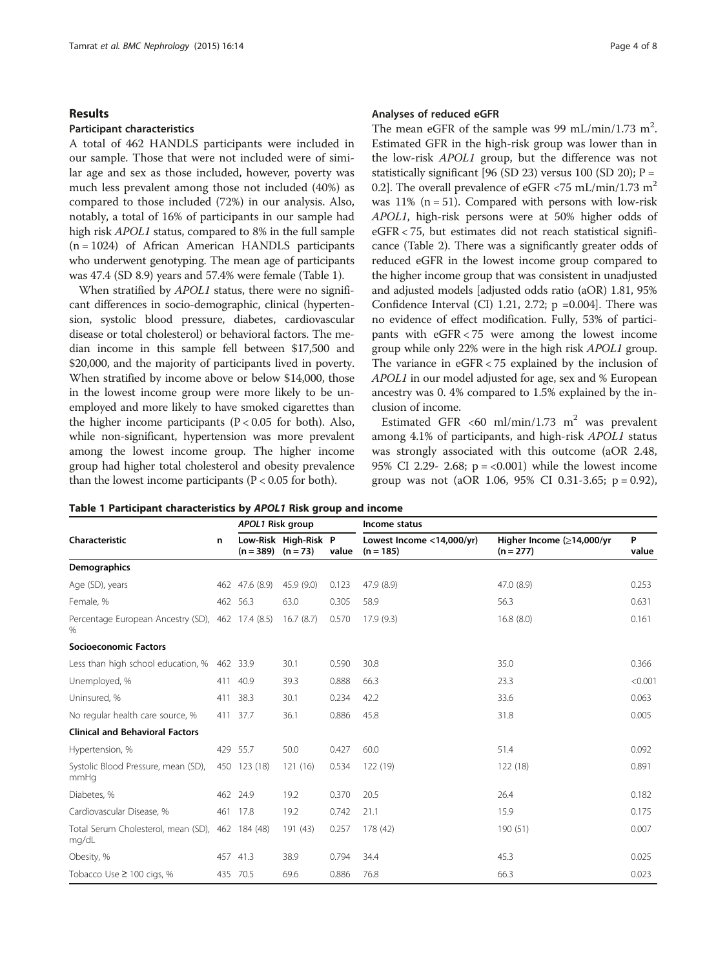#### Results

# Participant characteristics

A total of 462 HANDLS participants were included in our sample. Those that were not included were of similar age and sex as those included, however, poverty was much less prevalent among those not included (40%) as compared to those included (72%) in our analysis. Also, notably, a total of 16% of participants in our sample had high risk APOL1 status, compared to 8% in the full sample (n = 1024) of African American HANDLS participants who underwent genotyping. The mean age of participants was 47.4 (SD 8.9) years and 57.4% were female (Table 1).

When stratified by *APOL1* status, there were no significant differences in socio-demographic, clinical (hypertension, systolic blood pressure, diabetes, cardiovascular disease or total cholesterol) or behavioral factors. The median income in this sample fell between \$17,500 and \$20,000, and the majority of participants lived in poverty. When stratified by income above or below \$14,000, those in the lowest income group were more likely to be unemployed and more likely to have smoked cigarettes than the higher income participants ( $P < 0.05$  for both). Also, while non-significant, hypertension was more prevalent among the lowest income group. The higher income group had higher total cholesterol and obesity prevalence than the lowest income participants ( $P < 0.05$  for both).

#### Analyses of reduced eGFR

The mean eGFR of the sample was 99 mL/min/1.73 m<sup>2</sup>. Estimated GFR in the high-risk group was lower than in the low-risk APOL1 group, but the difference was not statistically significant [96 (SD 23) versus 100 (SD 20);  $P =$ 0.2]. The overall prevalence of eGFR  $\langle 75 \text{ mL/min} / 1.73 \text{ m}^2$ was  $11\%$  (n = 51). Compared with persons with low-risk APOL1, high-risk persons were at 50% higher odds of eGFR < 75, but estimates did not reach statistical significance (Table [2\)](#page-4-0). There was a significantly greater odds of reduced eGFR in the lowest income group compared to the higher income group that was consistent in unadjusted and adjusted models [adjusted odds ratio (aOR) 1.81, 95% Confidence Interval (CI) 1.21, 2.72;  $p = 0.004$ . There was no evidence of effect modification. Fully, 53% of participants with eGFR < 75 were among the lowest income group while only 22% were in the high risk APOL1 group. The variance in eGFR < 75 explained by the inclusion of APOL1 in our model adjusted for age, sex and % European ancestry was 0. 4% compared to 1.5% explained by the inclusion of income.

Estimated GFR <60 ml/min/1.73 m<sup>2</sup> was prevalent among 4.1% of participants, and high-risk APOL1 status was strongly associated with this outcome (aOR 2.48, 95% CI 2.29- 2.68;  $p = <0.001$ ) while the lowest income group was not (aOR 1.06, 95% CI 0.31-3.65;  $p = 0.92$ ),

| Table 1 Participant characteristics by APOL1 Risk group and income |  |  |  |
|--------------------------------------------------------------------|--|--|--|
|--------------------------------------------------------------------|--|--|--|

|                                                           |     | APOL1 Risk group       |                      |       | Income status                            |                                          |            |
|-----------------------------------------------------------|-----|------------------------|----------------------|-------|------------------------------------------|------------------------------------------|------------|
| Characteristic                                            | n   | $(n = 389)$ $(n = 73)$ | Low-Risk High-Risk P | value | Lowest Income <14,000/yr)<br>$(n = 185)$ | Higher Income (≥14,000/yr<br>$(n = 277)$ | P<br>value |
| <b>Demographics</b>                                       |     |                        |                      |       |                                          |                                          |            |
| Age (SD), years                                           |     | 462 47.6 (8.9)         | 45.9 (9.0)           | 0.123 | 47.9 (8.9)                               | 47.0 (8.9)                               | 0.253      |
| Female, %                                                 |     | 462 56.3               | 63.0                 | 0.305 | 58.9                                     | 56.3                                     | 0.631      |
| Percentage European Ancestry (SD), 462 17.4 (8.5)<br>%    |     |                        | 16.7(8.7)            | 0.570 | 17.9(9.3)                                | 16.8(8.0)                                | 0.161      |
| <b>Socioeconomic Factors</b>                              |     |                        |                      |       |                                          |                                          |            |
| Less than high school education, %                        |     | 462 33.9               | 30.1                 | 0.590 | 30.8                                     | 35.0                                     | 0.366      |
| Unemployed, %                                             |     | 411 40.9               | 39.3                 | 0.888 | 66.3                                     | 23.3                                     | < 0.001    |
| Uninsured, %                                              | 411 | 38.3                   | 30.1                 | 0.234 | 42.2                                     | 33.6                                     | 0.063      |
| No regular health care source, %                          |     | 411 37.7               | 36.1                 | 0.886 | 45.8                                     | 31.8                                     | 0.005      |
| <b>Clinical and Behavioral Factors</b>                    |     |                        |                      |       |                                          |                                          |            |
| Hypertension, %                                           |     | 429 55.7               | 50.0                 | 0.427 | 60.0                                     | 51.4                                     | 0.092      |
| Systolic Blood Pressure, mean (SD),<br>mmHq               |     | 450 123 (18)           | 121(16)              | 0.534 | 122 (19)                                 | 122(18)                                  | 0.891      |
| Diabetes, %                                               |     | 462 24.9               | 19.2                 | 0.370 | 20.5                                     | 26.4                                     | 0.182      |
| Cardiovascular Disease, %                                 |     | 461 17.8               | 19.2                 | 0.742 | 21.1                                     | 15.9                                     | 0.175      |
| Total Serum Cholesterol, mean (SD), 462 184 (48)<br>mg/dL |     |                        | 191 (43)             | 0.257 | 178 (42)                                 | 190 (51)                                 | 0.007      |
| Obesity, %                                                |     | 457 41.3               | 38.9                 | 0.794 | 34.4                                     | 45.3                                     | 0.025      |
| Tobacco Use ≥ 100 cigs, %                                 |     | 435 70.5               | 69.6                 | 0.886 | 76.8                                     | 66.3                                     | 0.023      |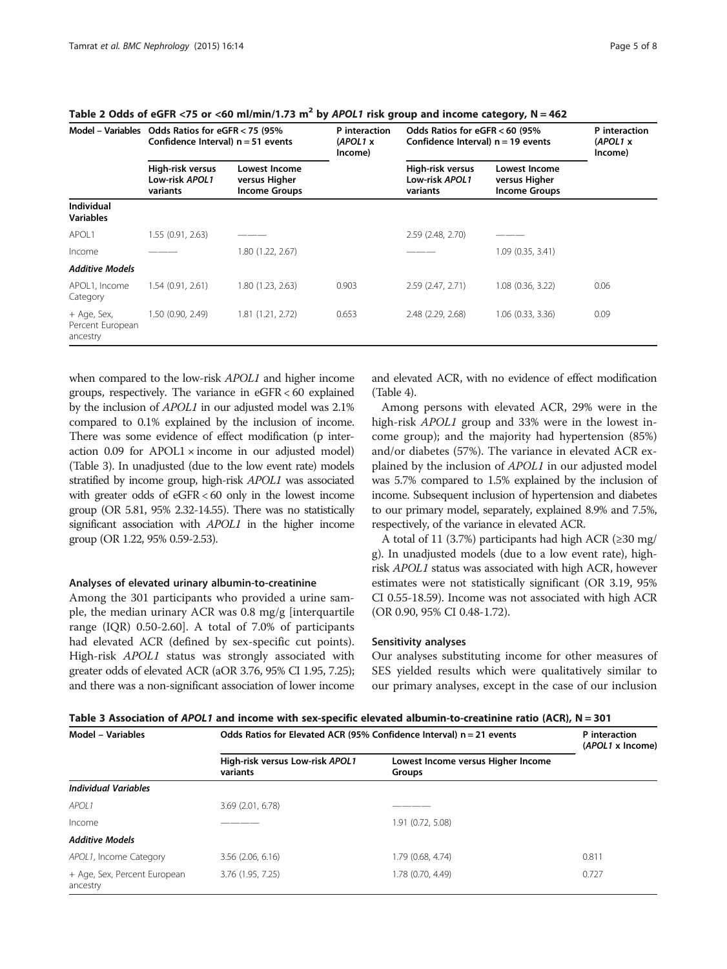|                                             | Model - Variables Odds Ratios for eGFR $<$ 75 (95%)<br>Confidence Interval) $n = 51$ events |                                                               | P interaction<br>(APOL1 x<br>Income) | Odds Ratios for eGFR < 60 (95%)<br>Confidence Interval) $n = 19$ events |                                                        | P interaction<br>(APOL1 x<br>Income) |
|---------------------------------------------|---------------------------------------------------------------------------------------------|---------------------------------------------------------------|--------------------------------------|-------------------------------------------------------------------------|--------------------------------------------------------|--------------------------------------|
|                                             | High-risk versus<br>Low-risk APOL1<br>variants                                              | <b>Lowest Income</b><br>versus Higher<br><b>Income Groups</b> |                                      | High-risk versus<br>Low-risk APOL1<br>variants                          | Lowest Income<br>versus Higher<br><b>Income Groups</b> |                                      |
| <b>Individual</b><br><b>Variables</b>       |                                                                                             |                                                               |                                      |                                                                         |                                                        |                                      |
| APOL1                                       | 1.55 (0.91, 2.63)                                                                           |                                                               |                                      | 2.59 (2.48, 2.70)                                                       |                                                        |                                      |
| Income                                      |                                                                                             | 1.80 (1.22, 2.67)                                             |                                      |                                                                         | 1.09(0.35, 3.41)                                       |                                      |
| <b>Additive Models</b>                      |                                                                                             |                                                               |                                      |                                                                         |                                                        |                                      |
| APOL1, Income<br>Category                   | 1.54(0.91, 2.61)                                                                            | 1.80 (1.23, 2.63)                                             | 0.903                                | 2.59 (2.47, 2.71)                                                       | $1.08$ $(0.36, 3.22)$                                  | 0.06                                 |
| + Age, Sex,<br>Percent European<br>ancestry | 1.50 (0.90, 2.49)                                                                           | 1.81 (1.21, 2.72)                                             | 0.653                                | 2.48 (2.29, 2.68)                                                       | $1.06$ $(0.33, 3.36)$                                  | 0.09                                 |

<span id="page-4-0"></span>Table 2 Odds of eGFR <75 or <60 ml/min/1.73 m<sup>2</sup> by APOL1 risk group and income category, N = 462

when compared to the low-risk APOL1 and higher income groups, respectively. The variance in eGFR < 60 explained by the inclusion of APOL1 in our adjusted model was 2.1% compared to 0.1% explained by the inclusion of income. There was some evidence of effect modification (p interaction  $0.09$  for APOL1  $\times$  income in our adjusted model) (Table 3). In unadjusted (due to the low event rate) models stratified by income group, high-risk APOL1 was associated with greater odds of eGFR < 60 only in the lowest income group (OR 5.81, 95% 2.32-14.55). There was no statistically significant association with APOL1 in the higher income group (OR 1.22, 95% 0.59-2.53).

#### Analyses of elevated urinary albumin-to-creatinine

Among the 301 participants who provided a urine sample, the median urinary ACR was 0.8 mg/g [interquartile range (IQR) 0.50-2.60]. A total of 7.0% of participants had elevated ACR (defined by sex-specific cut points). High-risk APOL1 status was strongly associated with greater odds of elevated ACR (aOR 3.76, 95% CI 1.95, 7.25); and there was a non-significant association of lower income

and elevated ACR, with no evidence of effect modification (Table [4](#page-5-0)).

Among persons with elevated ACR, 29% were in the high-risk APOL1 group and 33% were in the lowest income group); and the majority had hypertension (85%) and/or diabetes (57%). The variance in elevated ACR explained by the inclusion of APOL1 in our adjusted model was 5.7% compared to 1.5% explained by the inclusion of income. Subsequent inclusion of hypertension and diabetes to our primary model, separately, explained 8.9% and 7.5%, respectively, of the variance in elevated ACR.

A total of 11 (3.7%) participants had high ACR ( $\geq$ 30 mg/ g). In unadjusted models (due to a low event rate), highrisk APOL1 status was associated with high ACR, however estimates were not statistically significant (OR 3.19, 95% CI 0.55-18.59). Income was not associated with high ACR (OR 0.90, 95% CI 0.48-1.72).

#### Sensitivity analyses

Our analyses substituting income for other measures of SES yielded results which were qualitatively similar to our primary analyses, except in the case of our inclusion

| Table 3 Association of APOL1 and income with sex-specific elevated albumin-to-creatinine ratio (ACR), N = 301 |  |  |  |
|---------------------------------------------------------------------------------------------------------------|--|--|--|
|---------------------------------------------------------------------------------------------------------------|--|--|--|

| <b>Model - Variables</b>                 | Odds Ratios for Elevated ACR (95% Confidence Interval) $n = 21$ events | P interaction<br>(APOL1 x Income)                   |       |
|------------------------------------------|------------------------------------------------------------------------|-----------------------------------------------------|-------|
|                                          | High-risk versus Low-risk APOL1<br>variants                            | Lowest Income versus Higher Income<br><b>Groups</b> |       |
| <b>Individual Variables</b>              |                                                                        |                                                     |       |
| APOL1                                    | 3.69 (2.01, 6.78)                                                      |                                                     |       |
| Income                                   |                                                                        | 1.91 (0.72, 5.08)                                   |       |
| <b>Additive Models</b>                   |                                                                        |                                                     |       |
| APOL1, Income Category                   | 3.56 (2.06, 6.16)                                                      | 1.79 (0.68, 4.74)                                   | 0.811 |
| + Age, Sex, Percent European<br>ancestry | 3.76 (1.95, 7.25)                                                      | 1.78 (0.70, 4.49)                                   | 0.727 |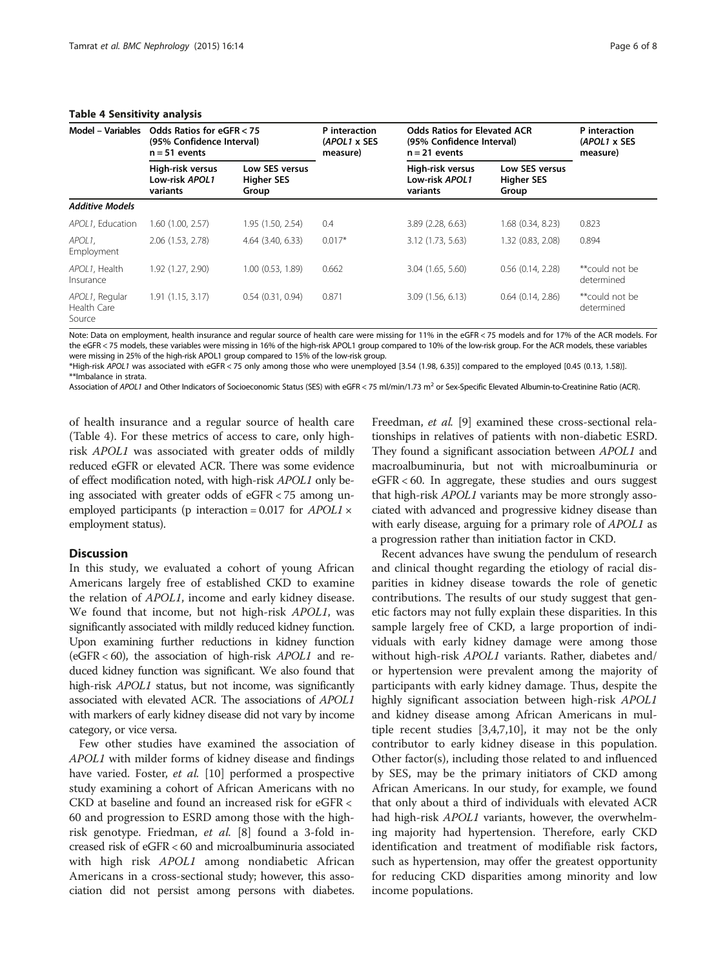### <span id="page-5-0"></span>Table 4 Sensitivity analysis

| $1.44712 + 9.21191311117$ $2.1411317919$ |                                                                           |                                              |                                           |                                                                                     |                                              |                              |  |
|------------------------------------------|---------------------------------------------------------------------------|----------------------------------------------|-------------------------------------------|-------------------------------------------------------------------------------------|----------------------------------------------|------------------------------|--|
| Model - Variables                        | Odds Ratios for eGFR < 75<br>(95% Confidence Interval)<br>$n = 51$ events |                                              | P interaction<br>(APOL1 x SES<br>measure) | <b>Odds Ratios for Elevated ACR</b><br>(95% Confidence Interval)<br>$n = 21$ events | P interaction<br>(APOL1 x SES<br>measure)    |                              |  |
|                                          | High-risk versus<br>Low-risk APOL1<br>variants                            | Low SES versus<br><b>Higher SES</b><br>Group |                                           | High-risk versus<br>Low-risk APOL1<br>variants                                      | Low SES versus<br><b>Higher SES</b><br>Group |                              |  |
| <b>Additive Models</b>                   |                                                                           |                                              |                                           |                                                                                     |                                              |                              |  |
| APOL1. Education                         | 1.60 (1.00, 2.57)                                                         | 1.95 (1.50, 2.54)                            | 0.4                                       | 3.89 (2.28, 6.63)                                                                   | 1.68 (0.34, 8.23)                            | 0.823                        |  |
| APOL1.<br>Employment                     | 2.06 (1.53, 2.78)                                                         | 4.64 (3.40, 6.33)                            | $0.017*$                                  | 3.12 (1.73, 5.63)                                                                   | 1.32 (0.83, 2.08)                            | 0.894                        |  |
| APOL1. Health<br>Insurance               | 1.92 (1.27, 2.90)                                                         | 1.00 (0.53, 1.89)                            | 0.662                                     | 3.04 (1.65, 5.60)                                                                   | $0.56$ $(0.14, 2.28)$                        | **could not be<br>determined |  |
| APOL1, Regular<br>Health Care<br>Source  | 1.91(1.15, 3.17)                                                          | 0.54(0.31, 0.94)                             | 0.871                                     | 3.09 (1.56, 6.13)                                                                   | $0.64$ $(0.14, 2.86)$                        | **could not be<br>determined |  |

Note: Data on employment, health insurance and regular source of health care were missing for 11% in the eGFR < 75 models and for 17% of the ACR models. For the eGFR < 75 models, these variables were missing in 16% of the high-risk APOL1 group compared to 10% of the low-risk group. For the ACR models, these variables were missing in 25% of the high-risk APOL1 group compared to 15% of the low-risk group.

\*High-risk APOL1 was associated with eGFR < 75 only among those who were unemployed [3.54 (1.98, 6.35)] compared to the employed [0.45 (0.13, 1.58)]. \*\*Imbalance in strata.

Association of APOL1 and Other Indicators of Socioeconomic Status (SES) with eGFR < 75 ml/min/1.73 m<sup>2</sup> or Sex-Specific Elevated Albumin-to-Creatinine Ratio (ACR).

of health insurance and a regular source of health care (Table 4). For these metrics of access to care, only highrisk APOL1 was associated with greater odds of mildly reduced eGFR or elevated ACR. There was some evidence of effect modification noted, with high-risk APOL1 only being associated with greater odds of eGFR < 75 among unemployed participants (p interaction =  $0.017$  for  $APOL1 \times$ employment status).

## Discussion

In this study, we evaluated a cohort of young African Americans largely free of established CKD to examine the relation of APOL1, income and early kidney disease. We found that income, but not high-risk APOL1, was significantly associated with mildly reduced kidney function. Upon examining further reductions in kidney function (eGFR  $<60$ ), the association of high-risk  $APOL1$  and reduced kidney function was significant. We also found that high-risk APOL1 status, but not income, was significantly associated with elevated ACR. The associations of APOL1 with markers of early kidney disease did not vary by income category, or vice versa.

Few other studies have examined the association of APOL1 with milder forms of kidney disease and findings have varied. Foster, et al. [[10\]](#page-6-0) performed a prospective study examining a cohort of African Americans with no CKD at baseline and found an increased risk for eGFR < 60 and progression to ESRD among those with the highrisk genotype. Friedman, et al. [[8\]](#page-6-0) found a 3-fold increased risk of eGFR < 60 and microalbuminuria associated with high risk *APOL1* among nondiabetic African Americans in a cross-sectional study; however, this association did not persist among persons with diabetes.

Freedman, et al. [[9](#page-6-0)] examined these cross-sectional relationships in relatives of patients with non-diabetic ESRD. They found a significant association between APOL1 and macroalbuminuria, but not with microalbuminuria or eGFR < 60. In aggregate, these studies and ours suggest that high-risk APOL1 variants may be more strongly associated with advanced and progressive kidney disease than with early disease, arguing for a primary role of APOL1 as a progression rather than initiation factor in CKD.

Recent advances have swung the pendulum of research and clinical thought regarding the etiology of racial disparities in kidney disease towards the role of genetic contributions. The results of our study suggest that genetic factors may not fully explain these disparities. In this sample largely free of CKD, a large proportion of individuals with early kidney damage were among those without high-risk APOL1 variants. Rather, diabetes and/ or hypertension were prevalent among the majority of participants with early kidney damage. Thus, despite the highly significant association between high-risk APOL1 and kidney disease among African Americans in multiple recent studies [\[3,4,7,10](#page-6-0)], it may not be the only contributor to early kidney disease in this population. Other factor(s), including those related to and influenced by SES, may be the primary initiators of CKD among African Americans. In our study, for example, we found that only about a third of individuals with elevated ACR had high-risk APOL1 variants, however, the overwhelming majority had hypertension. Therefore, early CKD identification and treatment of modifiable risk factors, such as hypertension, may offer the greatest opportunity for reducing CKD disparities among minority and low income populations.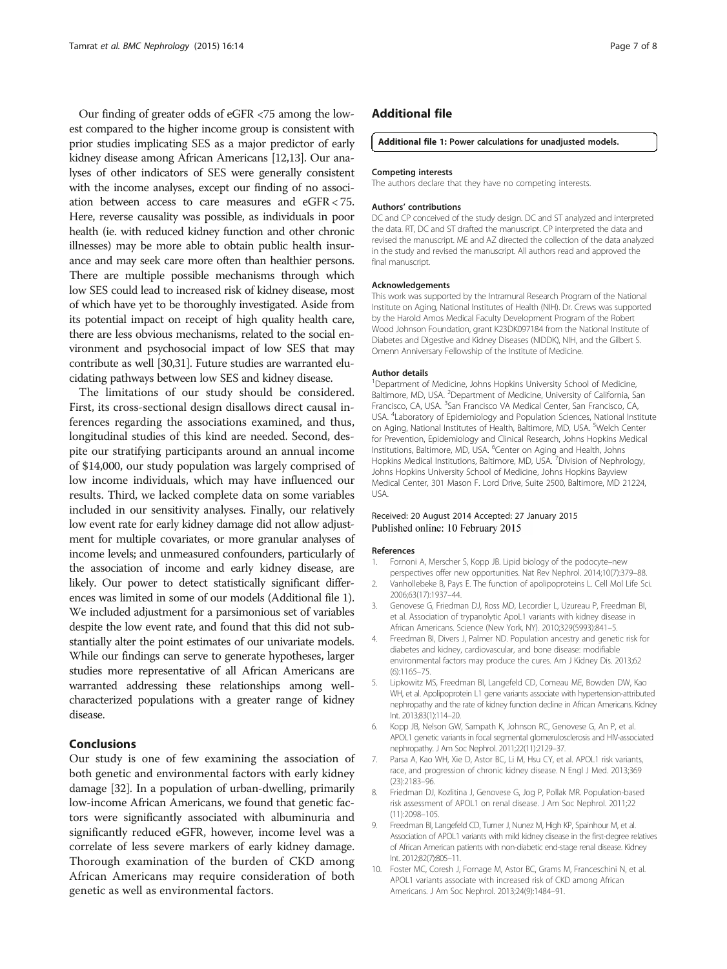<span id="page-6-0"></span>Our finding of greater odds of eGFR <75 among the lowest compared to the higher income group is consistent with prior studies implicating SES as a major predictor of early kidney disease among African Americans [\[12,13](#page-7-0)]. Our analyses of other indicators of SES were generally consistent with the income analyses, except our finding of no association between access to care measures and eGFR < 75. Here, reverse causality was possible, as individuals in poor health (ie. with reduced kidney function and other chronic illnesses) may be more able to obtain public health insurance and may seek care more often than healthier persons. There are multiple possible mechanisms through which low SES could lead to increased risk of kidney disease, most of which have yet to be thoroughly investigated. Aside from its potential impact on receipt of high quality health care, there are less obvious mechanisms, related to the social environment and psychosocial impact of low SES that may contribute as well [[30,31\]](#page-7-0). Future studies are warranted elucidating pathways between low SES and kidney disease.

The limitations of our study should be considered. First, its cross-sectional design disallows direct causal inferences regarding the associations examined, and thus, longitudinal studies of this kind are needed. Second, despite our stratifying participants around an annual income of \$14,000, our study population was largely comprised of low income individuals, which may have influenced our results. Third, we lacked complete data on some variables included in our sensitivity analyses. Finally, our relatively low event rate for early kidney damage did not allow adjustment for multiple covariates, or more granular analyses of income levels; and unmeasured confounders, particularly of the association of income and early kidney disease, are likely. Our power to detect statistically significant differences was limited in some of our models (Additional file 1). We included adjustment for a parsimonious set of variables despite the low event rate, and found that this did not substantially alter the point estimates of our univariate models. While our findings can serve to generate hypotheses, larger studies more representative of all African Americans are warranted addressing these relationships among wellcharacterized populations with a greater range of kidney disease.

# Conclusions

Our study is one of few examining the association of both genetic and environmental factors with early kidney damage [[32](#page-7-0)]. In a population of urban-dwelling, primarily low-income African Americans, we found that genetic factors were significantly associated with albuminuria and significantly reduced eGFR, however, income level was a correlate of less severe markers of early kidney damage. Thorough examination of the burden of CKD among African Americans may require consideration of both genetic as well as environmental factors.

## Additional file

#### [Additional file 1:](http://www.biomedcentral.com/content/supplementary/s12882-015-0008-6-s1.docx) Power calculations for unadjusted models.

#### Competing interests

The authors declare that they have no competing interests.

#### Authors' contributions

DC and CP conceived of the study design. DC and ST analyzed and interpreted the data. RT, DC and ST drafted the manuscript. CP interpreted the data and revised the manuscript. ME and AZ directed the collection of the data analyzed in the study and revised the manuscript. All authors read and approved the final manuscript.

#### Acknowledgements

This work was supported by the Intramural Research Program of the National Institute on Aging, National Institutes of Health (NIH). Dr. Crews was supported by the Harold Amos Medical Faculty Development Program of the Robert Wood Johnson Foundation, grant K23DK097184 from the National Institute of Diabetes and Digestive and Kidney Diseases (NIDDK), NIH, and the Gilbert S. Omenn Anniversary Fellowship of the Institute of Medicine.

#### Author details

<sup>1</sup>Department of Medicine, Johns Hopkins University School of Medicine, Baltimore, MD, USA. <sup>2</sup>Department of Medicine, University of California, San Francisco, CA, USA. <sup>3</sup>San Francisco VA Medical Center, San Francisco, CA USA. <sup>4</sup>Laboratory of Epidemiology and Population Sciences, National Institute on Aging, National Institutes of Health, Baltimore, MD, USA. <sup>5</sup>Welch Center for Prevention, Epidemiology and Clinical Research, Johns Hopkins Medical Institutions, Baltimore, MD, USA. <sup>6</sup>Center on Aging and Health, Johns Hopkins Medical Institutions, Baltimore, MD, USA.<sup>7</sup> Division of Nephrology Johns Hopkins University School of Medicine, Johns Hopkins Bayview Medical Center, 301 Mason F. Lord Drive, Suite 2500, Baltimore, MD 21224, USA.

#### Received: 20 August 2014 Accepted: 27 January 2015 Published online: 10 February 2015

#### References

- 1. Fornoni A, Merscher S, Kopp JB. Lipid biology of the podocyte–new perspectives offer new opportunities. Nat Rev Nephrol. 2014;10(7):379–88.
- 2. Vanhollebeke B, Pays E. The function of apolipoproteins L. Cell Mol Life Sci. 2006;63(17):1937–44.
- 3. Genovese G, Friedman DJ, Ross MD, Lecordier L, Uzureau P, Freedman BI, et al. Association of trypanolytic ApoL1 variants with kidney disease in African Americans. Science (New York, NY). 2010;329(5993):841–5.
- 4. Freedman BI, Divers J, Palmer ND. Population ancestry and genetic risk for diabetes and kidney, cardiovascular, and bone disease: modifiable environmental factors may produce the cures. Am J Kidney Dis. 2013;62 (6):1165–75.
- 5. Lipkowitz MS, Freedman BI, Langefeld CD, Comeau ME, Bowden DW, Kao WH, et al. Apolipoprotein L1 gene variants associate with hypertension-attributed nephropathy and the rate of kidney function decline in African Americans. Kidney Int. 2013;83(1):114–20.
- 6. Kopp JB, Nelson GW, Sampath K, Johnson RC, Genovese G, An P, et al. APOL1 genetic variants in focal segmental glomerulosclerosis and HIV-associated nephropathy. J Am Soc Nephrol. 2011;22(11):2129–37.
- 7. Parsa A, Kao WH, Xie D, Astor BC, Li M, Hsu CY, et al. APOL1 risk variants, race, and progression of chronic kidney disease. N Engl J Med. 2013;369 (23):2183–96.
- 8. Friedman DJ, Kozlitina J, Genovese G, Jog P, Pollak MR. Population-based risk assessment of APOL1 on renal disease. J Am Soc Nephrol. 2011;22 (11):2098–105.
- 9. Freedman BI, Langefeld CD, Turner J, Nunez M, High KP, Spainhour M, et al. Association of APOL1 variants with mild kidney disease in the first-degree relatives of African American patients with non-diabetic end-stage renal disease. Kidney Int. 2012;82(7):805–11.
- 10. Foster MC, Coresh J, Fornage M, Astor BC, Grams M, Franceschini N, et al. APOL1 variants associate with increased risk of CKD among African Americans. J Am Soc Nephrol. 2013;24(9):1484–91.